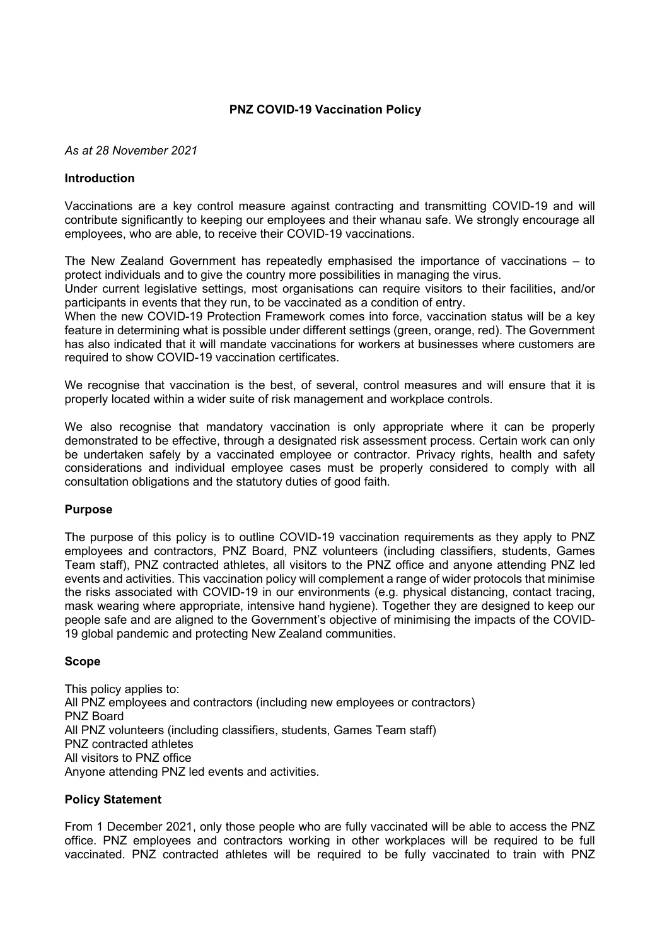## **PNZ COVID-19 Vaccination Policy**

#### *As at 28 November 2021*

### **Introduction**

Vaccinations are a key control measure against contracting and transmitting COVID-19 and will contribute significantly to keeping our employees and their whanau safe. We strongly encourage all employees, who are able, to receive their COVID-19 vaccinations.

The New Zealand Government has repeatedly emphasised the importance of vaccinations – to protect individuals and to give the country more possibilities in managing the virus.

Under current legislative settings, most organisations can require visitors to their facilities, and/or participants in events that they run, to be vaccinated as a condition of entry.

When the new COVID-19 Protection Framework comes into force, vaccination status will be a key feature in determining what is possible under different settings (green, orange, red). The Government has also indicated that it will mandate vaccinations for workers at businesses where customers are required to show COVID-19 vaccination certificates.

We recognise that vaccination is the best, of several, control measures and will ensure that it is properly located within a wider suite of risk management and workplace controls.

We also recognise that mandatory vaccination is only appropriate where it can be properly demonstrated to be effective, through a designated risk assessment process. Certain work can only be undertaken safely by a vaccinated employee or contractor. Privacy rights, health and safety considerations and individual employee cases must be properly considered to comply with all consultation obligations and the statutory duties of good faith.

#### **Purpose**

The purpose of this policy is to outline COVID-19 vaccination requirements as they apply to PNZ employees and contractors, PNZ Board, PNZ volunteers (including classifiers, students, Games Team staff), PNZ contracted athletes, all visitors to the PNZ office and anyone attending PNZ led events and activities. This vaccination policy will complement a range of wider protocols that minimise the risks associated with COVID-19 in our environments (e.g. physical distancing, contact tracing, mask wearing where appropriate, intensive hand hygiene). Together they are designed to keep our people safe and are aligned to the Government's objective of minimising the impacts of the COVID-19 global pandemic and protecting New Zealand communities.

#### **Scope**

This policy applies to: All PNZ employees and contractors (including new employees or contractors) PNZ Board All PNZ volunteers (including classifiers, students, Games Team staff) PNZ contracted athletes All visitors to PNZ office Anyone attending PNZ led events and activities.

#### **Policy Statement**

From 1 December 2021, only those people who are fully vaccinated will be able to access the PNZ office. PNZ employees and contractors working in other workplaces will be required to be full vaccinated. PNZ contracted athletes will be required to be fully vaccinated to train with PNZ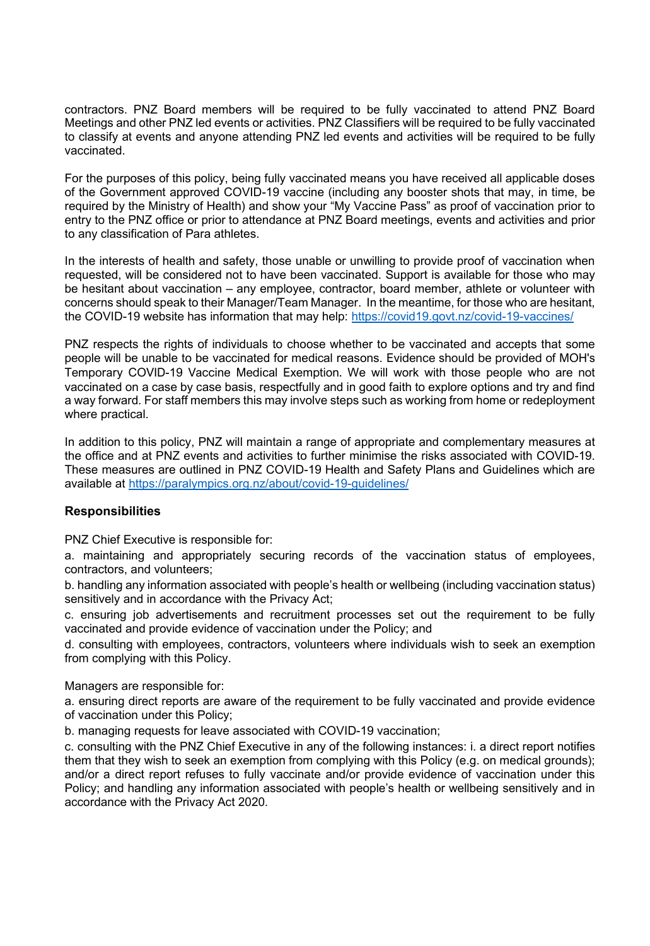contractors. PNZ Board members will be required to be fully vaccinated to attend PNZ Board Meetings and other PNZ led events or activities. PNZ Classifiers will be required to be fully vaccinated to classify at events and anyone attending PNZ led events and activities will be required to be fully vaccinated.

For the purposes of this policy, being fully vaccinated means you have received all applicable doses of the Government approved COVID-19 vaccine (including any booster shots that may, in time, be required by the Ministry of Health) and show your "My Vaccine Pass" as proof of vaccination prior to entry to the PNZ office or prior to attendance at PNZ Board meetings, events and activities and prior to any classification of Para athletes.

In the interests of health and safety, those unable or unwilling to provide proof of vaccination when requested, will be considered not to have been vaccinated. Support is available for those who may be hesitant about vaccination – any employee, contractor, board member, athlete or volunteer with concerns should speak to their Manager/Team Manager. In the meantime, for those who are hesitant, the COVID-19 website has information that may help:<https://covid19.govt.nz/covid-19-vaccines/>

PNZ respects the rights of individuals to choose whether to be vaccinated and accepts that some people will be unable to be vaccinated for medical reasons. Evidence should be provided of MOH's Temporary COVID-19 Vaccine Medical Exemption. We will work with those people who are not vaccinated on a case by case basis, respectfully and in good faith to explore options and try and find a way forward. For staff members this may involve steps such as working from home or redeployment where practical.

In addition to this policy, PNZ will maintain a range of appropriate and complementary measures at the office and at PNZ events and activities to further minimise the risks associated with COVID-19. These measures are outlined in PNZ COVID-19 Health and Safety Plans and Guidelines which are available at<https://paralympics.org.nz/about/covid-19-guidelines/>

# **Responsibilities**

PNZ Chief Executive is responsible for:

a. maintaining and appropriately securing records of the vaccination status of employees, contractors, and volunteers;

b. handling any information associated with people's health or wellbeing (including vaccination status) sensitively and in accordance with the Privacy Act;

c. ensuring job advertisements and recruitment processes set out the requirement to be fully vaccinated and provide evidence of vaccination under the Policy; and

d. consulting with employees, contractors, volunteers where individuals wish to seek an exemption from complying with this Policy.

Managers are responsible for:

a. ensuring direct reports are aware of the requirement to be fully vaccinated and provide evidence of vaccination under this Policy;

b. managing requests for leave associated with COVID-19 vaccination;

c. consulting with the PNZ Chief Executive in any of the following instances: i. a direct report notifies them that they wish to seek an exemption from complying with this Policy (e.g. on medical grounds); and/or a direct report refuses to fully vaccinate and/or provide evidence of vaccination under this Policy; and handling any information associated with people's health or wellbeing sensitively and in accordance with the Privacy Act 2020.